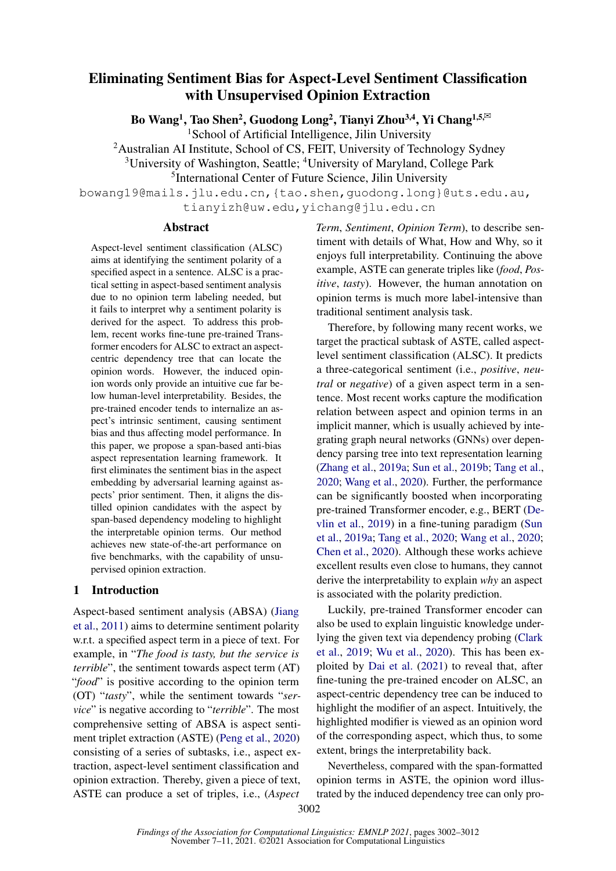# Eliminating Sentiment Bias for Aspect-Level Sentiment Classification with Unsupervised Opinion Extraction

Bo Wang<sup>1</sup>, Tao Shen<sup>2</sup>, Guodong Long<sup>2</sup>, Tianyi Zhou<sup>3,4</sup>, Yi Chang<sup>1,5,⊠</sup>

<sup>1</sup>School of Artificial Intelligence, Jilin University

<sup>2</sup>Australian AI Institute, School of CS, FEIT, University of Technology Sydney

<sup>3</sup>University of Washington, Seattle; <sup>4</sup>University of Maryland, College Park

5 International Center of Future Science, Jilin University

bowang19@mails.jlu.edu.cn,{tao.shen,guodong.long}@uts.edu.au, tianyizh@uw.edu,yichang@jlu.edu.cn

## Abstract

Aspect-level sentiment classification (ALSC) aims at identifying the sentiment polarity of a specified aspect in a sentence. ALSC is a practical setting in aspect-based sentiment analysis due to no opinion term labeling needed, but it fails to interpret why a sentiment polarity is derived for the aspect. To address this problem, recent works fine-tune pre-trained Transformer encoders for ALSC to extract an aspectcentric dependency tree that can locate the opinion words. However, the induced opinion words only provide an intuitive cue far below human-level interpretability. Besides, the pre-trained encoder tends to internalize an aspect's intrinsic sentiment, causing sentiment bias and thus affecting model performance. In this paper, we propose a span-based anti-bias aspect representation learning framework. It first eliminates the sentiment bias in the aspect embedding by adversarial learning against aspects' prior sentiment. Then, it aligns the distilled opinion candidates with the aspect by span-based dependency modeling to highlight the interpretable opinion terms. Our method achieves new state-of-the-art performance on five benchmarks, with the capability of unsupervised opinion extraction.

## <span id="page-0-0"></span>1 Introduction

Aspect-based sentiment analysis (ABSA) [\(Jiang](#page-8-0) [et al.,](#page-8-0) [2011\)](#page-8-0) aims to determine sentiment polarity w.r.t. a specified aspect term in a piece of text. For example, in "*The food is tasty, but the service is terrible*", the sentiment towards aspect term (AT) "*food*" is positive according to the opinion term (OT) "*tasty*", while the sentiment towards "*service*" is negative according to "*terrible*". The most comprehensive setting of ABSA is aspect sentiment triplet extraction (ASTE) [\(Peng et al.,](#page-9-0) [2020\)](#page-9-0) consisting of a series of subtasks, i.e., aspect extraction, aspect-level sentiment classification and opinion extraction. Thereby, given a piece of text, ASTE can produce a set of triples, i.e., (*Aspect*

*Term*, *Sentiment*, *Opinion Term*), to describe sentiment with details of What, How and Why, so it enjoys full interpretability. Continuing the above example, ASTE can generate triples like (*food*, *Positive*, *tasty*). However, the human annotation on opinion terms is much more label-intensive than traditional sentiment analysis task.

Therefore, by following many recent works, we target the practical subtask of ASTE, called aspectlevel sentiment classification (ALSC). It predicts a three-categorical sentiment (i.e., *positive*, *neutral* or *negative*) of a given aspect term in a sentence. Most recent works capture the modification relation between aspect and opinion terms in an implicit manner, which is usually achieved by integrating graph neural networks (GNNs) over dependency parsing tree into text representation learning [\(Zhang et al.,](#page-10-0) [2019a;](#page-10-0) [Sun et al.,](#page-9-1) [2019b;](#page-9-1) [Tang et al.,](#page-9-2) [2020;](#page-9-2) [Wang et al.,](#page-9-3) [2020\)](#page-9-3). Further, the performance can be significantly boosted when incorporating pre-trained Transformer encoder, e.g., BERT [\(De](#page-8-1)[vlin et al.,](#page-8-1) [2019\)](#page-8-1) in a fine-tuning paradigm [\(Sun](#page-9-4) [et al.,](#page-9-4) [2019a;](#page-9-4) [Tang et al.,](#page-9-2) [2020;](#page-9-2) [Wang et al.,](#page-9-3) [2020;](#page-9-3) [Chen et al.,](#page-8-2) [2020\)](#page-8-2). Although these works achieve excellent results even close to humans, they cannot derive the interpretability to explain *why* an aspect is associated with the polarity prediction.

Luckily, pre-trained Transformer encoder can also be used to explain linguistic knowledge underlying the given text via dependency probing [\(Clark](#page-8-3) [et al.,](#page-8-3) [2019;](#page-8-3) [Wu et al.,](#page-9-5) [2020\)](#page-9-5). This has been exploited by [Dai et al.](#page-8-4) [\(2021\)](#page-8-4) to reveal that, after fine-tuning the pre-trained encoder on ALSC, an aspect-centric dependency tree can be induced to highlight the modifier of an aspect. Intuitively, the highlighted modifier is viewed as an opinion word of the corresponding aspect, which thus, to some extent, brings the interpretability back.

Nevertheless, compared with the span-formatted opinion terms in ASTE, the opinion word illustrated by the induced dependency tree can only pro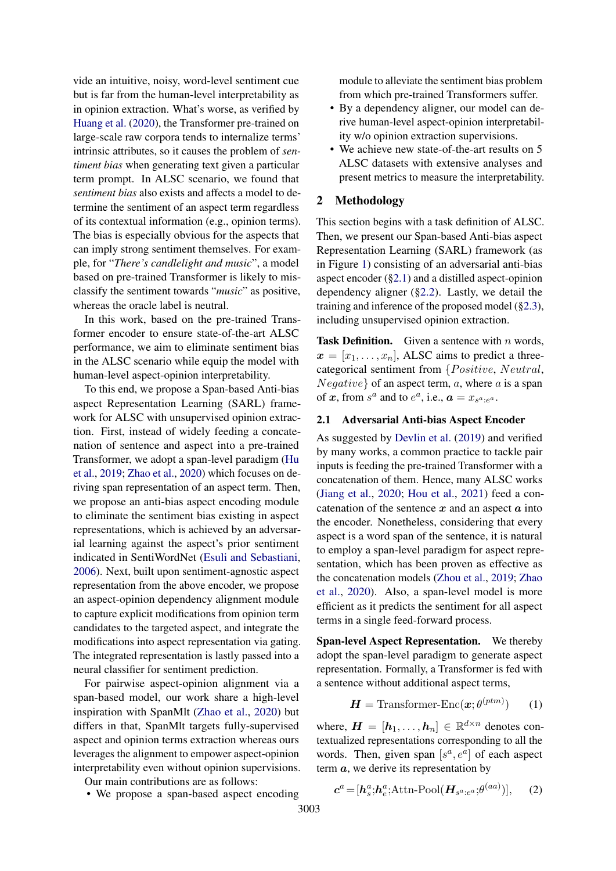vide an intuitive, noisy, word-level sentiment cue but is far from the human-level interpretability as in opinion extraction. What's worse, as verified by [Huang et al.](#page-8-5) [\(2020\)](#page-8-5), the Transformer pre-trained on large-scale raw corpora tends to internalize terms' intrinsic attributes, so it causes the problem of *sentiment bias* when generating text given a particular term prompt. In ALSC scenario, we found that *sentiment bias* also exists and affects a model to determine the sentiment of an aspect term regardless of its contextual information (e.g., opinion terms). The bias is especially obvious for the aspects that can imply strong sentiment themselves. For example, for "*There's candlelight and music*", a model based on pre-trained Transformer is likely to misclassify the sentiment towards "*music*" as positive, whereas the oracle label is neutral.

In this work, based on the pre-trained Transformer encoder to ensure state-of-the-art ALSC performance, we aim to eliminate sentiment bias in the ALSC scenario while equip the model with human-level aspect-opinion interpretability.

To this end, we propose a Span-based Anti-bias aspect Representation Learning (SARL) framework for ALSC with unsupervised opinion extraction. First, instead of widely feeding a concatenation of sentence and aspect into a pre-trained Transformer, we adopt a span-level paradigm [\(Hu](#page-8-6) [et al.,](#page-8-6) [2019;](#page-8-6) [Zhao et al.,](#page-10-1) [2020\)](#page-10-1) which focuses on deriving span representation of an aspect term. Then, we propose an anti-bias aspect encoding module to eliminate the sentiment bias existing in aspect representations, which is achieved by an adversarial learning against the aspect's prior sentiment indicated in SentiWordNet [\(Esuli and Sebastiani,](#page-8-7) [2006\)](#page-8-7). Next, built upon sentiment-agnostic aspect representation from the above encoder, we propose an aspect-opinion dependency alignment module to capture explicit modifications from opinion term candidates to the targeted aspect, and integrate the modifications into aspect representation via gating. The integrated representation is lastly passed into a neural classifier for sentiment prediction.

For pairwise aspect-opinion alignment via a span-based model, our work share a high-level inspiration with SpanMlt [\(Zhao et al.,](#page-10-1) [2020\)](#page-10-1) but differs in that, SpanMlt targets fully-supervised aspect and opinion terms extraction whereas ours leverages the alignment to empower aspect-opinion interpretability even without opinion supervisions.

Our main contributions are as follows:

• We propose a span-based aspect encoding

module to alleviate the sentiment bias problem from which pre-trained Transformers suffer.

- By a dependency aligner, our model can derive human-level aspect-opinion interpretability w/o opinion extraction supervisions.
- We achieve new state-of-the-art results on 5 ALSC datasets with extensive analyses and present metrics to measure the interpretability.

## 2 Methodology

This section begins with a task definition of ALSC. Then, we present our Span-based Anti-bias aspect Representation Learning (SARL) framework (as in Figure [1\)](#page-2-0) consisting of an adversarial anti-bias aspect encoder ([§2.1\)](#page-1-0) and a distilled aspect-opinion dependency aligner ([§2.2\)](#page-2-1). Lastly, we detail the training and inference of the proposed model ([§2.3\)](#page-4-0), including unsupervised opinion extraction.

**Task Definition.** Given a sentence with  $n$  words,  $\boldsymbol{x} = [x_1, \ldots, x_n]$ , ALSC aims to predict a threecategorical sentiment from  ${Positive, Neutral,}$  $Negative\}$  of an aspect term, a, where a is a span of x, from  $s^a$  and to  $e^a$ , i.e.,  $a = x_{s^a : e^a}$ .

#### <span id="page-1-0"></span>2.1 Adversarial Anti-bias Aspect Encoder

As suggested by [Devlin et al.](#page-8-1) [\(2019\)](#page-8-1) and verified by many works, a common practice to tackle pair inputs is feeding the pre-trained Transformer with a concatenation of them. Hence, many ALSC works [\(Jiang et al.,](#page-8-8) [2020;](#page-8-8) [Hou et al.,](#page-8-9) [2021\)](#page-8-9) feed a concatenation of the sentence  $x$  and an aspect  $a$  into the encoder. Nonetheless, considering that every aspect is a word span of the sentence, it is natural to employ a span-level paradigm for aspect representation, which has been proven as effective as the concatenation models [\(Zhou et al.,](#page-10-2) [2019;](#page-10-2) [Zhao](#page-10-1) [et al.,](#page-10-1) [2020\)](#page-10-1). Also, a span-level model is more efficient as it predicts the sentiment for all aspect terms in a single feed-forward process.

Span-level Aspect Representation. We thereby adopt the span-level paradigm to generate aspect representation. Formally, a Transformer is fed with a sentence without additional aspect terms,

<span id="page-1-2"></span><span id="page-1-1"></span>
$$
\boldsymbol{H} = \text{Transformer-Enc}(\boldsymbol{x}; \theta^{(ptm)}) \qquad (1)
$$

where,  $\boldsymbol{H} = [\boldsymbol{h}_1, \dots, \boldsymbol{h}_n] \in \mathbb{R}^{d \times n}$  denotes contextualized representations corresponding to all the words. Then, given span  $[s^a, e^a]$  of each aspect term  $a$ , we derive its representation by

$$
\boldsymbol{c}^{a} = [\boldsymbol{h}_{s}^{a}; \boldsymbol{h}_{e}^{a}; \text{Attn-Pool}(\boldsymbol{H}_{s^{a}:e^{a}}; \theta^{(aa)})], \qquad (2)
$$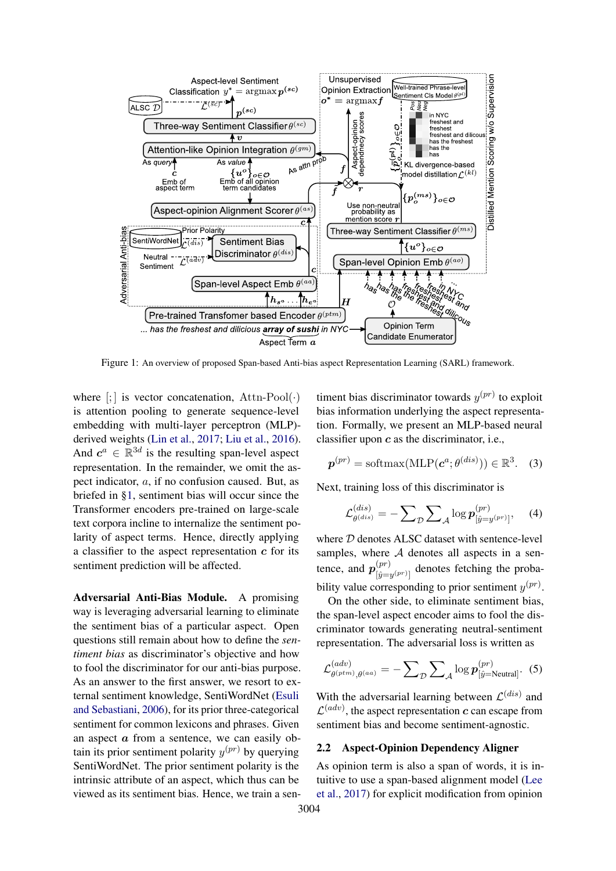<span id="page-2-0"></span>

Figure 1: An overview of proposed Span-based Anti-bias aspect Representation Learning (SARL) framework.

where  $\left[\cdot\right]$  is vector concatenation, Attn-Pool $\left(\cdot\right)$ is attention pooling to generate sequence-level embedding with multi-layer perceptron (MLP) derived weights [\(Lin et al.,](#page-8-10) [2017;](#page-8-10) [Liu et al.,](#page-8-11) [2016\)](#page-8-11). And  $c^a \in \mathbb{R}^{3d}$  is the resulting span-level aspect representation. In the remainder, we omit the aspect indicator, a, if no confusion caused. But, as briefed in [§1,](#page-0-0) sentiment bias will occur since the Transformer encoders pre-trained on large-scale text corpora incline to internalize the sentiment polarity of aspect terms. Hence, directly applying a classifier to the aspect representation  $c$  for its sentiment prediction will be affected.

Adversarial Anti-Bias Module. A promising way is leveraging adversarial learning to eliminate the sentiment bias of a particular aspect. Open questions still remain about how to define the *sentiment bias* as discriminator's objective and how to fool the discriminator for our anti-bias purpose. As an answer to the first answer, we resort to external sentiment knowledge, SentiWordNet [\(Esuli](#page-8-7) [and Sebastiani,](#page-8-7) [2006\)](#page-8-7), for its prior three-categorical sentiment for common lexicons and phrases. Given an aspect  $\alpha$  from a sentence, we can easily obtain its prior sentiment polarity  $y^{(pr)}$  by querying SentiWordNet. The prior sentiment polarity is the intrinsic attribute of an aspect, which thus can be viewed as its sentiment bias. Hence, we train a sen-

timent bias discriminator towards  $y^{(pr)}$  to exploit bias information underlying the aspect representation. Formally, we present an MLP-based neural classifier upon  $c$  as the discriminator, i.e.,

$$
\boldsymbol{p}^{(pr)} = \text{softmax}(\text{MLP}(\boldsymbol{c}^a; \theta^{(dis)})) \in \mathbb{R}^3. \quad (3)
$$

Next, training loss of this discriminator is

<span id="page-2-2"></span>
$$
\mathcal{L}^{(dis)}_{\theta^{(dis)}} = -\sum_{\mathcal{D}} \sum_{\mathcal{A}} \log p_{[\hat{y}=y^{(pr)}]}^{(pr)}, \quad (4)
$$

where  $D$  denotes ALSC dataset with sentence-level samples, where  $A$  denotes all aspects in a sentence, and  $p_{\text{Lip}}^{(pr)}$  $\left[\hat{y}^{(pr)}\right]$  denotes fetching the probability value corresponding to prior sentiment  $y^{(pr)}$ .

On the other side, to eliminate sentiment bias, the span-level aspect encoder aims to fool the discriminator towards generating neutral-sentiment representation. The adversarial loss is written as

$$
\mathcal{L}^{(adv)}_{\theta^{(prim)}, \theta^{(aa)}} = -\sum_{\mathcal{D}} \sum_{\mathcal{A}} \log \boldsymbol{p}_{[\hat{y}=\text{Neutral}]}^{(pr)}.\hspace{0.2cm} (5)
$$

With the adversarial learning between  $\mathcal{L}^{(dis)}$  and  $\mathcal{L}^{(adv)}$ , the aspect representation c can escape from sentiment bias and become sentiment-agnostic.

#### <span id="page-2-1"></span>2.2 Aspect-Opinion Dependency Aligner

As opinion term is also a span of words, it is intuitive to use a span-based alignment model [\(Lee](#page-8-12) [et al.,](#page-8-12) [2017\)](#page-8-12) for explicit modification from opinion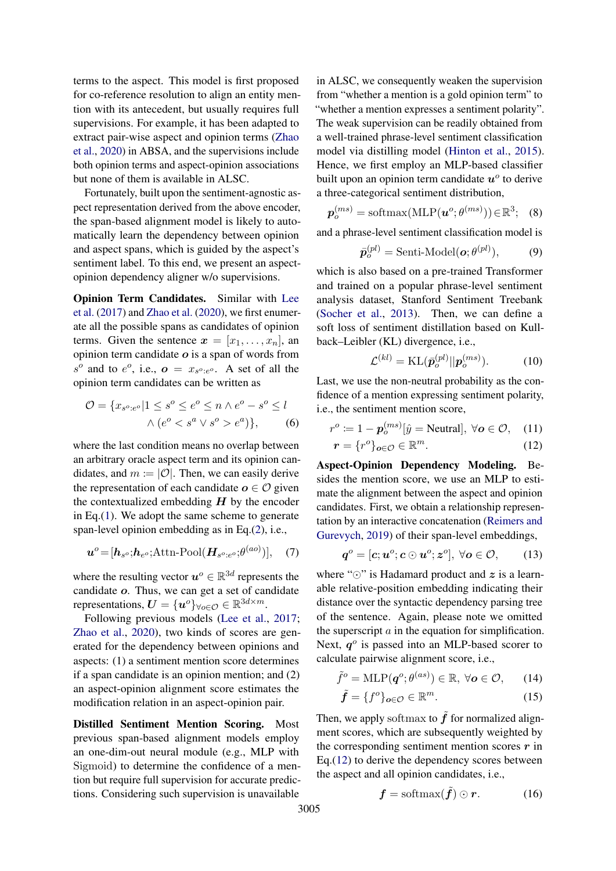terms to the aspect. This model is first proposed for co-reference resolution to align an entity mention with its antecedent, but usually requires full supervisions. For example, it has been adapted to extract pair-wise aspect and opinion terms [\(Zhao](#page-10-1) [et al.,](#page-10-1) [2020\)](#page-10-1) in ABSA, and the supervisions include both opinion terms and aspect-opinion associations but none of them is available in ALSC.

Fortunately, built upon the sentiment-agnostic aspect representation derived from the above encoder, the span-based alignment model is likely to automatically learn the dependency between opinion and aspect spans, which is guided by the aspect's sentiment label. To this end, we present an aspectopinion dependency aligner w/o supervisions.

Opinion Term Candidates. Similar with [Lee](#page-8-12) [et al.](#page-8-12) [\(2017\)](#page-8-12) and [Zhao et al.](#page-10-1) [\(2020\)](#page-10-1), we first enumerate all the possible spans as candidates of opinion terms. Given the sentence  $\mathbf{x} = [x_1, \dots, x_n]$ , an opinion term candidate  $o$  is a span of words from  $s^o$  and to  $e^o$ , i.e.,  $o = x_{s^o : e^o}$ . A set of all the opinion term candidates can be written as

$$
\mathcal{O} = \{x_{s^o:e^o} | 1 \le s^o \le e^o \le n \land e^o - s^o \le l
$$
  
 
$$
\land (e^o < s^a \lor s^o > e^a)\},\tag{6}
$$

where the last condition means no overlap between an arbitrary oracle aspect term and its opinion candidates, and  $m := |O|$ . Then, we can easily derive the representation of each candidate  $o \in \mathcal{O}$  given the contextualized embedding  $H$  by the encoder in Eq.[\(1\)](#page-1-1). We adopt the same scheme to generate span-level opinion embedding as in Eq.[\(2\)](#page-1-2), i.e.,

$$
\boldsymbol{u}^o = [\boldsymbol{h}_{s^o}; \boldsymbol{h}_{e^o}; \text{Attn-Pool}(\boldsymbol{H}_{s^o:e^o}; \theta^{(ao)})], \quad (7)
$$

where the resulting vector  $u^o \in \mathbb{R}^{3d}$  represents the candidate o. Thus, we can get a set of candidate representations,  $\boldsymbol{U} = {\boldsymbol{u}^o}_{\forall o \in \mathcal{O}} \in \mathbb{R}^{3d \times m}$ .

Following previous models [\(Lee et al.,](#page-8-12) [2017;](#page-8-12) [Zhao et al.,](#page-10-1) [2020\)](#page-10-1), two kinds of scores are generated for the dependency between opinions and aspects: (1) a sentiment mention score determines if a span candidate is an opinion mention; and (2) an aspect-opinion alignment score estimates the modification relation in an aspect-opinion pair.

Distilled Sentiment Mention Scoring. Most previous span-based alignment models employ an one-dim-out neural module (e.g., MLP with Sigmoid) to determine the confidence of a mention but require full supervision for accurate predictions. Considering such supervision is unavailable

in ALSC, we consequently weaken the supervision from "whether a mention is a gold opinion term" to "whether a mention expresses a sentiment polarity". The weak supervision can be readily obtained from a well-trained phrase-level sentiment classification model via distilling model [\(Hinton et al.,](#page-8-13) [2015\)](#page-8-13). Hence, we first employ an MLP-based classifier built upon an opinion term candidate  $u^{\circ}$  to derive a three-categorical sentiment distribution,

$$
\boldsymbol{p}_o^{(ms)} = \text{softmax}(\text{MLP}(\boldsymbol{u}^o; \theta^{(ms)})) \in \mathbb{R}^3; \quad (8)
$$

and a phrase-level sentiment classification model is

$$
\bar{\boldsymbol{p}}_o^{(pl)} = \text{Senti-Model}(\boldsymbol{o}; \theta^{(pl)}), \tag{9}
$$

which is also based on a pre-trained Transformer and trained on a popular phrase-level sentiment analysis dataset, Stanford Sentiment Treebank [\(Socher et al.,](#page-9-6) [2013\)](#page-9-6). Then, we can define a soft loss of sentiment distillation based on Kullback–Leibler (KL) divergence, i.e.,

<span id="page-3-0"></span>
$$
\mathcal{L}^{(kl)} = \text{KL}(\bar{\boldsymbol{p}}_o^{(pl)} || \boldsymbol{p}_o^{(ms)}).
$$
 (10)

Last, we use the non-neutral probability as the confidence of a mention expressing sentiment polarity, i.e., the sentiment mention score,

$$
r^o := 1 - \mathbf{p}_o^{(ms)}[\hat{y} = \text{Neutral}], \ \forall \mathbf{o} \in \mathcal{O}, \quad (11)
$$

$$
\boldsymbol{r} = \{r^o\}_{o \in \mathcal{O}} \in \mathbb{R}^m. \tag{12}
$$

Aspect-Opinion Dependency Modeling. Besides the mention score, we use an MLP to estimate the alignment between the aspect and opinion candidates. First, we obtain a relationship representation by an interactive concatenation [\(Reimers and](#page-9-7) [Gurevych,](#page-9-7) [2019\)](#page-9-7) of their span-level embeddings,

$$
\boldsymbol{q}^o = [\boldsymbol{c}; \boldsymbol{u}^o; \boldsymbol{c} \odot \boldsymbol{u}^o; \boldsymbol{z}^o], \ \forall \boldsymbol{o} \in \mathcal{O}, \qquad (13)
$$

where " $\odot$ " is Hadamard product and  $z$  is a learnable relative-position embedding indicating their distance over the syntactic dependency parsing tree of the sentence. Again, please note we omitted the superscript  $\alpha$  in the equation for simplification. Next,  $q^{\circ}$  is passed into an MLP-based scorer to calculate pairwise alignment score, i.e.,

$$
\tilde{f}^o = \text{MLP}(\boldsymbol{q}^o; \theta^{(as)}) \in \mathbb{R}, \ \forall \boldsymbol{o} \in \mathcal{O}, \qquad (14)
$$

$$
\tilde{\boldsymbol{f}} = \{f^o\}_{o \in \mathcal{O}} \in \mathbb{R}^m. \tag{15}
$$

Then, we apply softmax to  $\tilde{f}$  for normalized alignment scores, which are subsequently weighted by the corresponding sentiment mention scores  $r$  in Eq.[\(12\)](#page-3-0) to derive the dependency scores between the aspect and all opinion candidates, i.e.,

<span id="page-3-1"></span>
$$
\boldsymbol{f} = \text{softmax}(\tilde{\boldsymbol{f}}) \odot \boldsymbol{r}.
$$
 (16)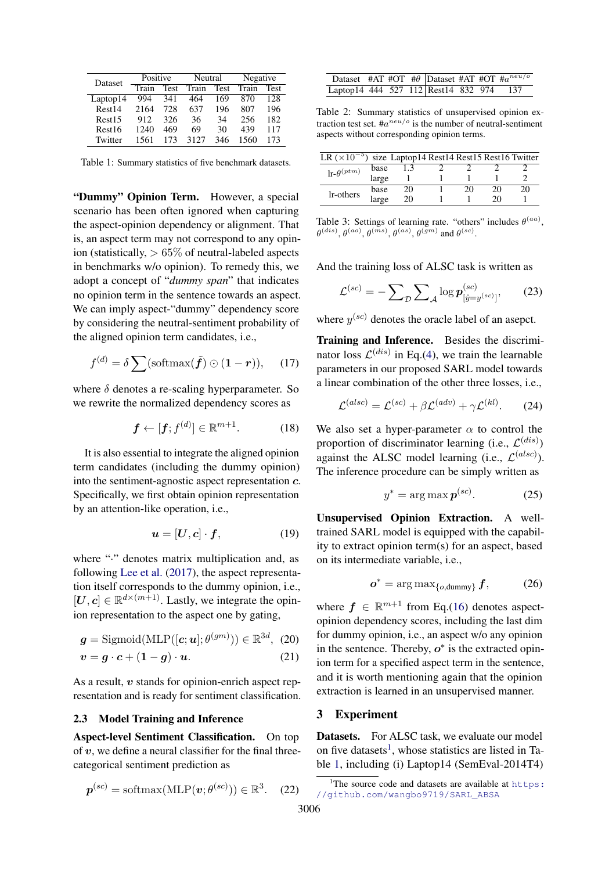<span id="page-4-2"></span>

| Dataset            | Positive |      | Neutral |      | Negative |             |  |
|--------------------|----------|------|---------|------|----------|-------------|--|
|                    | Train    | Test | Train   | Test | Train    | <b>Test</b> |  |
| Laptop14           | 994      | 341  | 464     | 169  | 870      | 128         |  |
| Rest14             | 2164     | 728  | 637     | 196  | 807      | 196         |  |
| Rest <sub>15</sub> | 912      | 326  | 36      | 34   | 256      | 182         |  |
| Rest <sub>16</sub> | 1240     | 469  | 69      | 30   | 439      | 117         |  |
| Twitter            | 1561     | 173  | 3127    | 346  | 1560     | 173         |  |

Table 1: Summary statistics of five benchmark datasets.

"Dummy" Opinion Term. However, a special scenario has been often ignored when capturing the aspect-opinion dependency or alignment. That is, an aspect term may not correspond to any opinion (statistically,  $> 65\%$  of neutral-labeled aspects in benchmarks w/o opinion). To remedy this, we adopt a concept of "*dummy span*" that indicates no opinion term in the sentence towards an aspect. We can imply aspect-"dummy" dependency score by considering the neutral-sentiment probability of the aligned opinion term candidates, i.e.,

$$
f^{(d)} = \delta \sum \left( \text{softmax}(\tilde{f}) \odot (1 - r) \right), \quad (17)
$$

where  $\delta$  denotes a re-scaling hyperparameter. So we rewrite the normalized dependency scores as

$$
\boldsymbol{f} \leftarrow [\boldsymbol{f}; \boldsymbol{f}^{(d)}] \in \mathbb{R}^{m+1}.
$$
 (18)

It is also essential to integrate the aligned opinion term candidates (including the dummy opinion) into the sentiment-agnostic aspect representation c. Specifically, we first obtain opinion representation by an attention-like operation, i.e.,

$$
\boldsymbol{u} = [\boldsymbol{U}, \boldsymbol{c}] \cdot \boldsymbol{f}, \tag{19}
$$

where "." denotes matrix multiplication and, as following [Lee et al.](#page-8-12) [\(2017\)](#page-8-12), the aspect representation itself corresponds to the dummy opinion, i.e.,  $[\boldsymbol{U}, \boldsymbol{c}] \in \mathbb{R}^{d \times (m+1)}$ . Lastly, we integrate the opinion representation to the aspect one by gating,

$$
\boldsymbol{g} = \text{Sigmoid}(\text{MLP}([\boldsymbol{c}; \boldsymbol{u}]; \theta^{(gm)})) \in \mathbb{R}^{3d}, (20)
$$

$$
v = g \cdot c + (1 - g) \cdot u. \tag{21}
$$

As a result,  $v$  stands for opinion-enrich aspect representation and is ready for sentiment classification.

## <span id="page-4-0"></span>2.3 Model Training and Inference

Aspect-level Sentiment Classification. On top of  $v$ , we define a neural classifier for the final threecategorical sentiment prediction as

$$
\boldsymbol{p}^{(sc)} = \text{softmax}(\text{MLP}(\boldsymbol{v}; \theta^{(sc)})) \in \mathbb{R}^3. \quad (22)
$$

<span id="page-4-3"></span>

| Dataset #AT #OT # $\theta$ Dataset #AT #OT # $a^{neu/o}$ |  |  |  |  |
|----------------------------------------------------------|--|--|--|--|
| Laptop14 444 527 112 Rest14 832 974 137                  |  |  |  |  |

Table 2: Summary statistics of unsupervised opinion extraction test set.  $\#a^{neu/o}$  is the number of neutral-sentiment aspects without corresponding opinion terms.

<span id="page-4-6"></span>

| LR $(\times 10^{-5})$ size Laptop14 Rest14 Rest15 Rest16 Twitter |       |    |    |    |    |
|------------------------------------------------------------------|-------|----|----|----|----|
| $\ln \theta^{(ptm)}$                                             | base  |    |    |    |    |
|                                                                  | large |    |    |    |    |
| lr-others                                                        | base  | 20 | 20 | 20 | 20 |
|                                                                  | large | 20 |    | ንበ |    |

Table 3: Settings of learning rate. "others" includes  $\theta^{(aa)}$ ,  $\theta^{(dis)}, \theta^{(ao)}, \theta^{(ms)}, \theta^{(as)}, \theta^{(gm)}$  and  $\theta^{(sc)}$ .

And the training loss of ALSC task is written as

$$
\mathcal{L}^{(sc)} = -\sum_{\mathcal{D}} \sum_{\mathcal{A}} \log p_{[\hat{y} = y^{(sc)}]}^{(sc)},\qquad(23)
$$

where  $y^{(sc)}$  denotes the oracle label of an asepct.

<span id="page-4-5"></span>Training and Inference. Besides the discriminator loss  $\mathcal{L}^{(dis)}$  in Eq.[\(4\)](#page-2-2), we train the learnable parameters in our proposed SARL model towards a linear combination of the other three losses, i.e.,

$$
\mathcal{L}^{(alsc)} = \mathcal{L}^{(sc)} + \beta \mathcal{L}^{(adv)} + \gamma \mathcal{L}^{(kl)}.
$$
 (24)

We also set a hyper-parameter  $\alpha$  to control the proportion of discriminator learning (i.e.,  $\mathcal{L}^{(dis)}$ ) against the ALSC model learning (i.e.,  $\mathcal{L}^{(also)}$ ). The inference procedure can be simply written as

<span id="page-4-4"></span>
$$
y^* = \arg \max \mathbf{p}^{(sc)}.\tag{25}
$$

Unsupervised Opinion Extraction. A welltrained SARL model is equipped with the capability to extract opinion term(s) for an aspect, based on its intermediate variable, i.e.,

$$
\boldsymbol{o}^* = \arg \max_{\{o, \text{dummy}\}} \boldsymbol{f}, \tag{26}
$$

where  $f \in \mathbb{R}^{m+1}$  from Eq.[\(16\)](#page-3-1) denotes aspectopinion dependency scores, including the last dim for dummy opinion, i.e., an aspect w/o any opinion in the sentence. Thereby,  $o^*$  is the extracted opinion term for a specified aspect term in the sentence, and it is worth mentioning again that the opinion extraction is learned in an unsupervised manner.

## 3 Experiment

Datasets. For ALSC task, we evaluate our model on five datasets<sup>[1](#page-4-1)</sup>, whose statistics are listed in Table [1,](#page-4-2) including (i) Laptop14 (SemEval-2014T4)

<span id="page-4-1"></span><sup>&</sup>lt;sup>1</sup>The source code and datasets are available at  $https:$ [//github.com/wangbo9719/SARL\\_ABSA](https://github.com/wangbo9719/SARL_ABSA)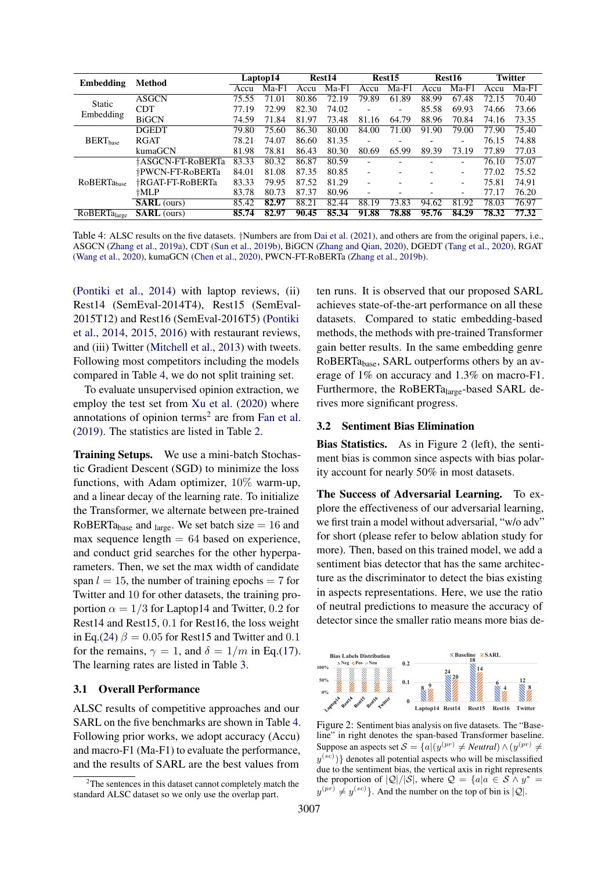<span id="page-5-0"></span>

| <b>Embedding</b>    | Method             |       | Laptop14 |       | Rest14  |                          | Rest <sub>15</sub>       |       | Rest16  |       | <b>Twitter</b> |
|---------------------|--------------------|-------|----------|-------|---------|--------------------------|--------------------------|-------|---------|-------|----------------|
|                     |                    | Accu  | $Ma-F1$  | Accu  | $Ma-F1$ | Accu                     | $Ma-F1$                  | Accu  | $Ma-F1$ | Accu  | $Ma-F1$        |
| Static              | <b>ASGCN</b>       | 75.55 | 71.01    | 80.86 | 72.19   | 79.89                    | 61.89                    | 88.99 | 67.48   | 72.15 | 70.40          |
| Embedding           | <b>CDT</b>         | 77.19 | 72.99    | 82.30 | 74.02   |                          | $\overline{\phantom{0}}$ | 85.58 | 69.93   | 74.66 | 73.66          |
|                     | <b>BiGCN</b>       | 74.59 | 71.84    | 81.97 | 73.48   | 81.16                    | 64.79                    | 88.96 | 70.84   | 74.16 | 73.35          |
|                     | <b>DGEDT</b>       | 79.80 | 75.60    | 86.30 | 80.00   | 84.00                    | 71.00                    | 91.90 | 79.00   | 77.90 | 75.40          |
| $BERT_{base}$       | <b>RGAT</b>        | 78.21 | 74.07    | 86.60 | 81.35   | ۰                        |                          |       |         | 76.15 | 74.88          |
|                     | kumaGCN            | 81.98 | 78.81    | 86.43 | 80.30   | 80.69                    | 65.99                    | 89.39 | 73.19   | 77.89 | 77.03          |
|                     | †ASGCN-FT-RoBERTa  | 83.33 | 80.32    | 86.87 | 80.59   |                          |                          |       |         | 76.10 | 75.07          |
|                     | †PWCN-FT-RoBERTa   | 84.01 | 81.08    | 87.35 | 80.85   | ٠                        |                          |       | -       | 77.02 | 75.52          |
| <b>RoBERTa</b> base | †RGAT-FT-RoBERTa   | 83.33 | 79.95    | 87.52 | 81.29   | ٠                        |                          |       | -       | 75.81 | 74.91          |
|                     | †MLP               | 83.78 | 80.73    | 87.37 | 80.96   | $\overline{\phantom{0}}$ |                          |       | -       | 77.17 | 76.20          |
|                     | <b>SARL</b> (ours) | 85.42 | 82.97    | 88.21 | 82.44   | 88.19                    | 73.83                    | 94.62 | 81.92   | 78.03 | 76.97          |
| RoBERTalarge        | <b>SARL</b> (ours) | 85.74 | 82.97    | 90.45 | 85.34   | 91.88                    | 78.88                    | 95.76 | 84.29   | 78.32 | 77.32          |

Table 4: ALSC results on the five datasets. †Numbers are from [Dai et al.](#page-8-4) [\(2021\)](#page-8-4), and others are from the original papers, i.e., ASGCN [\(Zhang et al.,](#page-10-0) [2019a\)](#page-10-0), CDT [\(Sun et al.,](#page-9-1) [2019b\)](#page-9-1), BiGCN [\(Zhang and Qian,](#page-10-3) [2020\)](#page-10-3), DGEDT [\(Tang et al.,](#page-9-2) [2020\)](#page-9-2), RGAT [\(Wang et al.,](#page-9-3) [2020\)](#page-9-3), kumaGCN [\(Chen et al.,](#page-8-2) [2020\)](#page-8-2), PWCN-FT-RoBERTa [\(Zhang et al.,](#page-10-4) [2019b\)](#page-10-4).

[\(Pontiki et al.,](#page-9-8) [2014\)](#page-9-8) with laptop reviews, (ii) Rest14 (SemEval-2014T4), Rest15 (SemEval-2015T12) and Rest16 (SemEval-2016T5) [\(Pontiki](#page-9-8) [et al.,](#page-9-8) [2014,](#page-9-8) [2015,](#page-9-9) [2016\)](#page-9-10) with restaurant reviews, and (iii) Twitter [\(Mitchell et al.,](#page-9-11) [2013\)](#page-9-11) with tweets. Following most competitors including the models compared in Table [4,](#page-5-0) we do not split training set.

To evaluate unsupervised opinion extraction, we employ the test set from [Xu et al.](#page-9-12) [\(2020\)](#page-9-12) where annotations of opinion terms<sup>[2](#page-5-1)</sup> are from [Fan et al.](#page-8-14) [\(2019\)](#page-8-14). The statistics are listed in Table [2.](#page-4-3)

Training Setups. We use a mini-batch Stochastic Gradient Descent (SGD) to minimize the loss functions, with Adam optimizer, 10% warm-up, and a linear decay of the learning rate. To initialize the Transformer, we alternate between pre-trained RoBERTa<sub>base</sub> and <sub>large</sub>. We set batch size  $= 16$  and max sequence length  $= 64$  based on experience, and conduct grid searches for the other hyperparameters. Then, we set the max width of candidate span  $l = 15$ , the number of training epochs = 7 for Twitter and 10 for other datasets, the training proportion  $\alpha = 1/3$  for Laptop14 and Twitter, 0.2 for Rest14 and Rest15, 0.1 for Rest16, the loss weight in Eq.[\(24\)](#page-4-4)  $\beta = 0.05$  for Rest15 and Twitter and 0.1 for the remains,  $\gamma = 1$ , and  $\delta = 1/m$  in Eq.[\(17\)](#page-4-5). The learning rates are listed in Table [3.](#page-4-6)

#### 3.1 Overall Performance

ALSC results of competitive approaches and our SARL on the five benchmarks are shown in Table [4.](#page-5-0) Following prior works, we adopt accuracy (Accu) and macro-F1 (Ma-F1) to evaluate the performance, and the results of SARL are the best values from

ten runs. It is observed that our proposed SARL achieves state-of-the-art performance on all these datasets. Compared to static embedding-based methods, the methods with pre-trained Transformer gain better results. In the same embedding genre RoBERTabase, SARL outperforms others by an average of 1% on accuracy and 1.3% on macro-F1. Furthermore, the RoBERTalarge-based SARL derives more significant progress.

#### 3.2 Sentiment Bias Elimination

Bias Statistics. As in Figure [2](#page-5-2) (left), the sentiment bias is common since aspects with bias polarity account for nearly 50% in most datasets.

The Success of Adversarial Learning. To explore the effectiveness of our adversarial learning, we first train a model without adversarial, "w/o adv" for short (please refer to below ablation study for more). Then, based on this trained model, we add a sentiment bias detector that has the same architecture as the discriminator to detect the bias existing in aspects representations. Here, we use the ratio of neutral predictions to measure the accuracy of detector since the smaller ratio means more bias de-

<span id="page-5-2"></span>

Figure 2: Sentiment bias analysis on five datasets. The "Baseline" in right denotes the span-based Transformer baseline. Suppose an aspects set  $S = \{a | (y^{(pr)} \neq \textit{Neutral}) \land (y^{(pr)} \neq \textit{Neutral})\}$  $y^{(sc)}$ } denotes all potential aspects who will be misclassified due to the sentiment bias, the vertical axis in right represents the proportion of  $|Q|/|S|$ , where  $Q = \{a | a \in S \wedge y^* =$  $y^{(pr)} \neq y^{(sc)}$ . And the number on the top of bin is  $|Q|$ .

<span id="page-5-1"></span> $2<sup>2</sup>$ The sentences in this dataset cannot completely match the standard ALSC dataset so we only use the overlap part.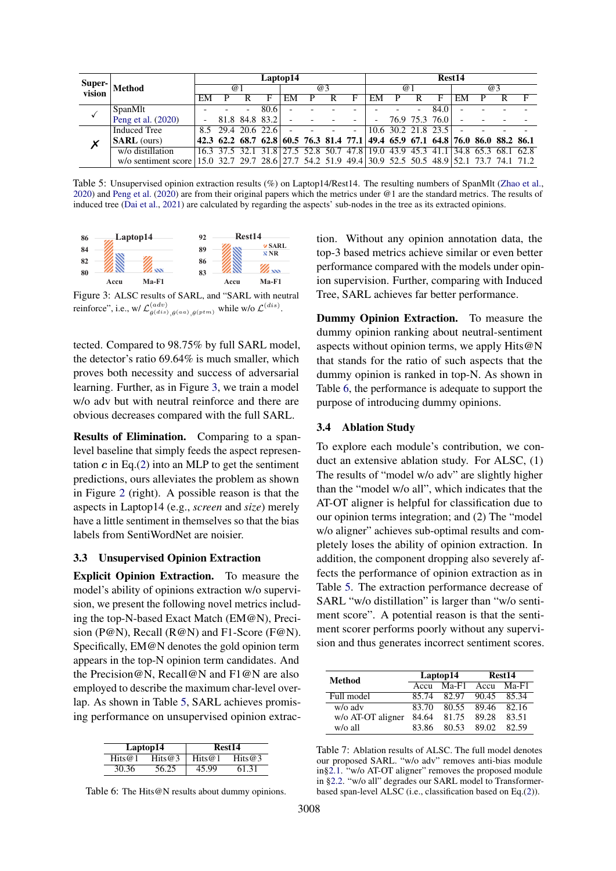<span id="page-6-1"></span>

| Super-       |                                                                                                     | Laptop14 |                |                          |                    |    |  | Rest <sub>14</sub> |                                                                                 |                          |                     |                          |                |    |                                 |  |  |
|--------------|-----------------------------------------------------------------------------------------------------|----------|----------------|--------------------------|--------------------|----|--|--------------------|---------------------------------------------------------------------------------|--------------------------|---------------------|--------------------------|----------------|----|---------------------------------|--|--|
| vision       | Method                                                                                              | @1       |                |                          | @3                 |    |  |                    | @1                                                                              |                          |                     | @3                       |                |    |                                 |  |  |
|              |                                                                                                     | EM       |                |                          |                    | EM |  |                    | F                                                                               | EM                       |                     |                          | F              | EМ |                                 |  |  |
|              | SpanMlt                                                                                             |          |                | $\overline{\phantom{a}}$ | 80.6               |    |  |                    |                                                                                 |                          |                     | $\overline{\phantom{0}}$ | 84.0           |    |                                 |  |  |
|              | Peng et al. (2020)                                                                                  |          |                |                          | 81.8 84.8 83.2     |    |  |                    |                                                                                 | $\overline{\phantom{0}}$ |                     |                          | 76.9 75.3 76.0 |    |                                 |  |  |
|              | <b>Induced Tree</b>                                                                                 |          |                |                          | 8.5 29.4 20.6 22.6 |    |  |                    |                                                                                 |                          | 10.6 30.2 21.8 23.5 |                          |                |    |                                 |  |  |
| $\checkmark$ | <b>SARL</b> (ours)                                                                                  |          |                |                          |                    |    |  |                    | 42.3 62.2 68.7 62.8 60.5 76.3 81.4 77.1 49.4 65.9 67.1 64.8 76.0 86.0 88.2 86.1 |                          |                     |                          |                |    |                                 |  |  |
|              | w/o distillation                                                                                    |          | 16.3 37.5 32.1 |                          | 31.8               |    |  |                    | 27.5 52.8 50.7 47.8 19.0 43.9 45.3 41.1                                         |                          |                     |                          |                |    | $\parallel$ 34.8 65.3 68.1 62.8 |  |  |
|              | w/o sentiment score 15.0 32.7 29.7 28.6 27.7 54.2 51.9 49.4 30.9 52.5 50.5 48.9 52.1 73.7 74.1 71.2 |          |                |                          |                    |    |  |                    |                                                                                 |                          |                     |                          |                |    |                                 |  |  |

Table 5: Unsupervised opinion extraction results (%) on Laptop14/Rest14. The resulting numbers of SpanMlt [\(Zhao et al.,](#page-10-1) [2020\)](#page-10-1) and [Peng et al.](#page-9-0) [\(2020\)](#page-9-0) are from their original papers which the metrics under @1 are the standard metrics. The results of induced tree [\(Dai et al.,](#page-8-4) [2021\)](#page-8-4) are calculated by regarding the aspects' sub-nodes in the tree as its extracted opinions.

<span id="page-6-0"></span>

Figure 3: ALSC results of SARL, and "SARL with neutral reinforce", i.e., w/  $\mathcal{L}_{a(dis)}^{(adv)}$  $\begin{array}{c} (adv) \\ \theta^{(dis)}, \theta^{(aa)}, \theta^{(ptm)} \end{array}$  while w/o  $\mathcal{L}^{(dis)}$ .

tected. Compared to 98.75% by full SARL model, the detector's ratio 69.64% is much smaller, which proves both necessity and success of adversarial learning. Further, as in Figure [3,](#page-6-0) we train a model w/o adv but with neutral reinforce and there are obvious decreases compared with the full SARL.

Results of Elimination. Comparing to a spanlevel baseline that simply feeds the aspect representation  $c$  in Eq.[\(2\)](#page-1-2) into an MLP to get the sentiment predictions, ours alleviates the problem as shown in Figure [2](#page-5-2) (right). A possible reason is that the aspects in Laptop14 (e.g., *screen* and *size*) merely have a little sentiment in themselves so that the bias labels from SentiWordNet are noisier.

#### 3.3 Unsupervised Opinion Extraction

Explicit Opinion Extraction. To measure the model's ability of opinions extraction w/o supervision, we present the following novel metrics including the top-N-based Exact Match (EM@N), Precision (P@N), Recall (R@N) and F1-Score (F@N). Specifically, EM@N denotes the gold opinion term appears in the top-N opinion term candidates. And the Precision@N, Recall@N and F1@N are also employed to describe the maximum char-level overlap. As shown in Table [5,](#page-6-1) SARL achieves promising performance on unsupervised opinion extrac-

<span id="page-6-2"></span>

|        | Laptop14  | Rest14    |           |  |  |  |  |  |
|--------|-----------|-----------|-----------|--|--|--|--|--|
| Hits@1 | Hits $@3$ | Hits $@1$ | Hits $@3$ |  |  |  |  |  |
| 30.36  | 56.25     | 45.99     | 61.31     |  |  |  |  |  |

Table 6: The Hits@N results about dummy opinions.

tion. Without any opinion annotation data, the top-3 based metrics achieve similar or even better performance compared with the models under opinion supervision. Further, comparing with Induced Tree, SARL achieves far better performance.

Dummy Opinion Extraction. To measure the dummy opinion ranking about neutral-sentiment aspects without opinion terms, we apply Hits@N that stands for the ratio of such aspects that the dummy opinion is ranked in top-N. As shown in Table [6,](#page-6-2) the performance is adequate to support the purpose of introducing dummy opinions.

#### 3.4 Ablation Study

To explore each module's contribution, we conduct an extensive ablation study. For ALSC, (1) The results of "model w/o adv" are slightly higher than the "model w/o all", which indicates that the AT-OT aligner is helpful for classification due to our opinion terms integration; and (2) The "model w/o aligner" achieves sub-optimal results and completely loses the ability of opinion extraction. In addition, the component dropping also severely affects the performance of opinion extraction as in Table [5.](#page-6-1) The extraction performance decrease of SARL "w/o distillation" is larger than "w/o sentiment score". A potential reason is that the sentiment scorer performs poorly without any supervision and thus generates incorrect sentiment scores.

| Method            |       | Laptop14 | Rest14 |         |  |  |
|-------------------|-------|----------|--------|---------|--|--|
|                   | Accu  | $Ma-F1$  | Accu   | $Ma-F1$ |  |  |
| Full model        | 85.74 | 82.97    | 90.45  | 85.34   |  |  |
| w/o adv           | 83.70 | 80.55    | 89.46  | 82.16   |  |  |
| w/o AT-OT aligner | 84.64 | 81.75    | 89.28  | 83.51   |  |  |
| w/o all           | 83.86 | 80.53    | 89.02  | 82.59   |  |  |

Table 7: Ablation results of ALSC. The full model denotes our proposed SARL. "w/o adv" removes anti-bias module in[§2.1.](#page-1-0) "w/o AT-OT aligner" removes the proposed module in [§2.2.](#page-2-1) "w/o all" degrades our SARL model to Transformerbased span-level ALSC (i.e., classification based on Eq.[\(2\)](#page-1-2)).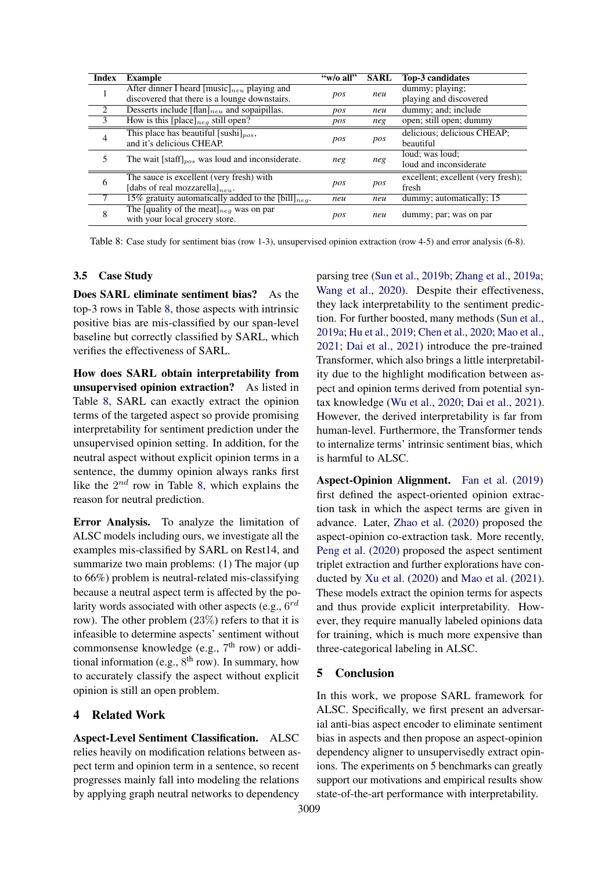<span id="page-7-0"></span>

| <b>Index</b>   | <b>Example</b>                                            | "w/o all" | <b>SARL</b> | <b>Top-3 candidates</b>            |  |
|----------------|-----------------------------------------------------------|-----------|-------------|------------------------------------|--|
|                | After dinner I heard $[music]_{neu}$ playing and          |           | neu         | dummy; playing;                    |  |
|                | discovered that there is a lounge downstairs.             | pos       |             | playing and discovered             |  |
| 2              | Desserts include $[flan]_{neu}$ and sopaipillas.          | pos       | neu         | dummy; and; include                |  |
| 3              | How is this [place] <sub>neg</sub> still open?            | pos       | neg         | open; still open; dummy            |  |
| $\overline{4}$ | This place has beautiful [sushi] <sub>nos</sub> ,         |           |             | delicious; delicious CHEAP;        |  |
|                | and it's delicious CHEAP.                                 | pos       | pos         | beautiful                          |  |
| 5              | The wait [staff] $_{pos}$ was loud and inconsiderate.     | neg       | neg         | loud; was loud;                    |  |
|                |                                                           |           |             | loud and inconsiderate             |  |
| 6              | The sauce is excellent (very fresh) with                  |           |             | excellent; excellent (very fresh); |  |
|                | [dabs of real mozzarella] $_{neu}$ .                      | pos       | pos         | fresh                              |  |
|                | 15% gratuity automatically added to the [bill] $_{neq}$ . | neu       | neu         | dummy; automatically; 15           |  |
| 8              | The [quality of the meat] $_{neg}$ was on par             | pos       | neu         | dummy; par; was on par             |  |
|                | with your local grocery store.                            |           |             |                                    |  |

Table 8: Case study for sentiment bias (row 1-3), unsupervised opinion extraction (row 4-5) and error analysis (6-8).

## 3.5 Case Study

Does SARL eliminate sentiment bias? As the top-3 rows in Table [8,](#page-7-0) those aspects with intrinsic positive bias are mis-classified by our span-level baseline but correctly classified by SARL, which verifies the effectiveness of SARL.

How does SARL obtain interpretability from unsupervised opinion extraction? As listed in Table [8,](#page-7-0) SARL can exactly extract the opinion terms of the targeted aspect so provide promising interpretability for sentiment prediction under the unsupervised opinion setting. In addition, for the neutral aspect without explicit opinion terms in a sentence, the dummy opinion always ranks first like the  $2^{nd}$  row in Table [8,](#page-7-0) which explains the reason for neutral prediction.

Error Analysis. To analyze the limitation of ALSC models including ours, we investigate all the examples mis-classified by SARL on Rest14, and summarize two main problems: (1) The major (up to 66%) problem is neutral-related mis-classifying because a neutral aspect term is affected by the polarity words associated with other aspects (e.g.,  $6^{rd}$ row). The other problem (23%) refers to that it is infeasible to determine aspects' sentiment without commonsense knowledge (e.g., 7<sup>th</sup> row) or additional information (e.g., 8<sup>th</sup> row). In summary, how to accurately classify the aspect without explicit opinion is still an open problem.

#### 4 Related Work

Aspect-Level Sentiment Classification. ALSC relies heavily on modification relations between aspect term and opinion term in a sentence, so recent progresses mainly fall into modeling the relations by applying graph neutral networks to dependency

parsing tree [\(Sun et al.,](#page-9-1) [2019b;](#page-9-1) [Zhang et al.,](#page-10-0) [2019a;](#page-10-0) [Wang et al.,](#page-9-3) [2020\)](#page-9-3). Despite their effectiveness, they lack interpretability to the sentiment prediction. For further boosted, many methods [\(Sun et al.,](#page-9-4) [2019a;](#page-9-4) [Hu et al.,](#page-8-6) [2019;](#page-8-6) [Chen et al.,](#page-8-2) [2020;](#page-8-2) [Mao et al.,](#page-9-13) [2021;](#page-9-13) [Dai et al.,](#page-8-4) [2021\)](#page-8-4) introduce the pre-trained Transformer, which also brings a little interpretability due to the highlight modification between aspect and opinion terms derived from potential syntax knowledge [\(Wu et al.,](#page-9-5) [2020;](#page-9-5) [Dai et al.,](#page-8-4) [2021\)](#page-8-4). However, the derived interpretability is far from human-level. Furthermore, the Transformer tends to internalize terms' intrinsic sentiment bias, which is harmful to ALSC.

Aspect-Opinion Alignment. [Fan et al.](#page-8-14) [\(2019\)](#page-8-14) first defined the aspect-oriented opinion extraction task in which the aspect terms are given in advance. Later, [Zhao et al.](#page-10-1) [\(2020\)](#page-10-1) proposed the aspect-opinion co-extraction task. More recently, [Peng et al.](#page-9-0) [\(2020\)](#page-9-0) proposed the aspect sentiment triplet extraction and further explorations have conducted by [Xu et al.](#page-9-12) [\(2020\)](#page-9-12) and [Mao et al.](#page-9-13) [\(2021\)](#page-9-13). These models extract the opinion terms for aspects and thus provide explicit interpretability. However, they require manually labeled opinions data for training, which is much more expensive than three-categorical labeling in ALSC.

## 5 Conclusion

In this work, we propose SARL framework for ALSC. Specifically, we first present an adversarial anti-bias aspect encoder to eliminate sentiment bias in aspects and then propose an aspect-opinion dependency aligner to unsupervisedly extract opinions. The experiments on 5 benchmarks can greatly support our motivations and empirical results show state-of-the-art performance with interpretability.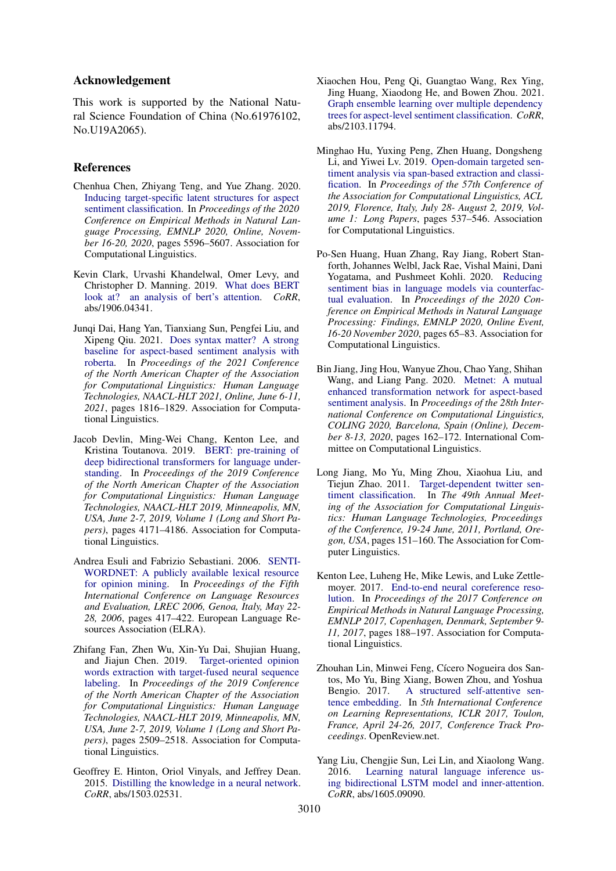## Acknowledgement

This work is supported by the National Natural Science Foundation of China (No.61976102, No.U19A2065).

#### References

- <span id="page-8-2"></span>Chenhua Chen, Zhiyang Teng, and Yue Zhang. 2020. [Inducing target-specific latent structures for aspect](https://doi.org/10.18653/v1/2020.emnlp-main.451) [sentiment classification.](https://doi.org/10.18653/v1/2020.emnlp-main.451) In *Proceedings of the 2020 Conference on Empirical Methods in Natural Language Processing, EMNLP 2020, Online, November 16-20, 2020*, pages 5596–5607. Association for Computational Linguistics.
- <span id="page-8-3"></span>Kevin Clark, Urvashi Khandelwal, Omer Levy, and Christopher D. Manning. 2019. [What does BERT](http://arxiv.org/abs/1906.04341) [look at? an analysis of bert's attention.](http://arxiv.org/abs/1906.04341) *CoRR*, abs/1906.04341.
- <span id="page-8-4"></span>Junqi Dai, Hang Yan, Tianxiang Sun, Pengfei Liu, and Xipeng Qiu. 2021. [Does syntax matter? A strong](https://www.aclweb.org/anthology/2021.naacl-main.146/) [baseline for aspect-based sentiment analysis with](https://www.aclweb.org/anthology/2021.naacl-main.146/) [roberta.](https://www.aclweb.org/anthology/2021.naacl-main.146/) In *Proceedings of the 2021 Conference of the North American Chapter of the Association for Computational Linguistics: Human Language Technologies, NAACL-HLT 2021, Online, June 6-11, 2021*, pages 1816–1829. Association for Computational Linguistics.
- <span id="page-8-1"></span>Jacob Devlin, Ming-Wei Chang, Kenton Lee, and Kristina Toutanova. 2019. [BERT: pre-training of](https://doi.org/10.18653/v1/n19-1423) [deep bidirectional transformers for language under](https://doi.org/10.18653/v1/n19-1423)[standing.](https://doi.org/10.18653/v1/n19-1423) In *Proceedings of the 2019 Conference of the North American Chapter of the Association for Computational Linguistics: Human Language Technologies, NAACL-HLT 2019, Minneapolis, MN, USA, June 2-7, 2019, Volume 1 (Long and Short Papers)*, pages 4171–4186. Association for Computational Linguistics.
- <span id="page-8-7"></span>Andrea Esuli and Fabrizio Sebastiani. 2006. [SENTI-](http://www.lrec-conf.org/proceedings/lrec2006/summaries/384.html)[WORDNET: A publicly available lexical resource](http://www.lrec-conf.org/proceedings/lrec2006/summaries/384.html) [for opinion mining.](http://www.lrec-conf.org/proceedings/lrec2006/summaries/384.html) In *Proceedings of the Fifth International Conference on Language Resources and Evaluation, LREC 2006, Genoa, Italy, May 22- 28, 2006*, pages 417–422. European Language Resources Association (ELRA).
- <span id="page-8-14"></span>Zhifang Fan, Zhen Wu, Xin-Yu Dai, Shujian Huang, and Jiajun Chen. 2019. [Target-oriented opinion](https://doi.org/10.18653/v1/n19-1259) [words extraction with target-fused neural sequence](https://doi.org/10.18653/v1/n19-1259) [labeling.](https://doi.org/10.18653/v1/n19-1259) In *Proceedings of the 2019 Conference of the North American Chapter of the Association for Computational Linguistics: Human Language Technologies, NAACL-HLT 2019, Minneapolis, MN, USA, June 2-7, 2019, Volume 1 (Long and Short Papers)*, pages 2509–2518. Association for Computational Linguistics.
- <span id="page-8-13"></span>Geoffrey E. Hinton, Oriol Vinyals, and Jeffrey Dean. 2015. [Distilling the knowledge in a neural network.](http://arxiv.org/abs/1503.02531) *CoRR*, abs/1503.02531.
- <span id="page-8-9"></span>Xiaochen Hou, Peng Qi, Guangtao Wang, Rex Ying, Jing Huang, Xiaodong He, and Bowen Zhou. 2021. [Graph ensemble learning over multiple dependency](http://arxiv.org/abs/2103.11794) [trees for aspect-level sentiment classification.](http://arxiv.org/abs/2103.11794) *CoRR*, abs/2103.11794.
- <span id="page-8-6"></span>Minghao Hu, Yuxing Peng, Zhen Huang, Dongsheng Li, and Yiwei Lv. 2019. [Open-domain targeted sen](https://doi.org/10.18653/v1/p19-1051)[timent analysis via span-based extraction and classi](https://doi.org/10.18653/v1/p19-1051)[fication.](https://doi.org/10.18653/v1/p19-1051) In *Proceedings of the 57th Conference of the Association for Computational Linguistics, ACL 2019, Florence, Italy, July 28- August 2, 2019, Volume 1: Long Papers*, pages 537–546. Association for Computational Linguistics.
- <span id="page-8-5"></span>Po-Sen Huang, Huan Zhang, Ray Jiang, Robert Stanforth, Johannes Welbl, Jack Rae, Vishal Maini, Dani Yogatama, and Pushmeet Kohli. 2020. [Reducing](https://doi.org/10.18653/v1/2020.findings-emnlp.7) [sentiment bias in language models via counterfac](https://doi.org/10.18653/v1/2020.findings-emnlp.7)[tual evaluation.](https://doi.org/10.18653/v1/2020.findings-emnlp.7) In *Proceedings of the 2020 Conference on Empirical Methods in Natural Language Processing: Findings, EMNLP 2020, Online Event, 16-20 November 2020*, pages 65–83. Association for Computational Linguistics.
- <span id="page-8-8"></span>Bin Jiang, Jing Hou, Wanyue Zhou, Chao Yang, Shihan Wang, and Liang Pang. 2020. [Metnet: A mutual](https://doi.org/10.18653/v1/2020.coling-main.14) [enhanced transformation network for aspect-based](https://doi.org/10.18653/v1/2020.coling-main.14) [sentiment analysis.](https://doi.org/10.18653/v1/2020.coling-main.14) In *Proceedings of the 28th International Conference on Computational Linguistics, COLING 2020, Barcelona, Spain (Online), December 8-13, 2020*, pages 162–172. International Committee on Computational Linguistics.
- <span id="page-8-0"></span>Long Jiang, Mo Yu, Ming Zhou, Xiaohua Liu, and Tiejun Zhao. 2011. [Target-dependent twitter sen](https://www.aclweb.org/anthology/P11-1016/)[timent classification.](https://www.aclweb.org/anthology/P11-1016/) In *The 49th Annual Meeting of the Association for Computational Linguistics: Human Language Technologies, Proceedings of the Conference, 19-24 June, 2011, Portland, Oregon, USA*, pages 151–160. The Association for Computer Linguistics.
- <span id="page-8-12"></span>Kenton Lee, Luheng He, Mike Lewis, and Luke Zettlemoyer. 2017. [End-to-end neural coreference reso](https://doi.org/10.18653/v1/d17-1018)[lution.](https://doi.org/10.18653/v1/d17-1018) In *Proceedings of the 2017 Conference on Empirical Methods in Natural Language Processing, EMNLP 2017, Copenhagen, Denmark, September 9- 11, 2017*, pages 188–197. Association for Computational Linguistics.
- <span id="page-8-10"></span>Zhouhan Lin, Minwei Feng, Cícero Nogueira dos Santos, Mo Yu, Bing Xiang, Bowen Zhou, and Yoshua Bengio. 2017. [A structured self-attentive sen](https://openreview.net/forum?id=BJC_jUqxe)[tence embedding.](https://openreview.net/forum?id=BJC_jUqxe) In *5th International Conference on Learning Representations, ICLR 2017, Toulon, France, April 24-26, 2017, Conference Track Proceedings*. OpenReview.net.
- <span id="page-8-11"></span>Yang Liu, Chengjie Sun, Lei Lin, and Xiaolong Wang. 2016. [Learning natural language inference us](http://arxiv.org/abs/1605.09090)[ing bidirectional LSTM model and inner-attention.](http://arxiv.org/abs/1605.09090) *CoRR*, abs/1605.09090.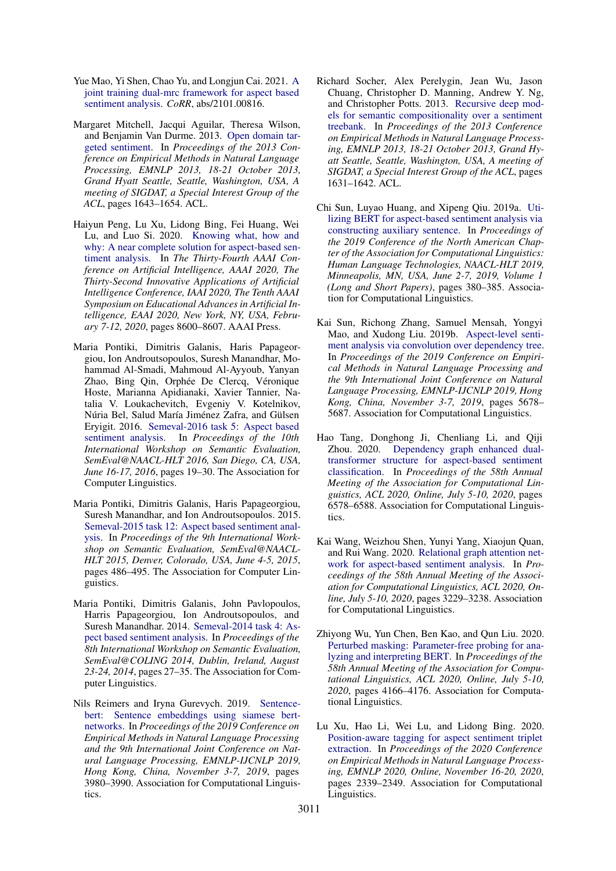- <span id="page-9-13"></span>Yue Mao, Yi Shen, Chao Yu, and Longjun Cai. 2021. [A](http://arxiv.org/abs/2101.00816) [joint training dual-mrc framework for aspect based](http://arxiv.org/abs/2101.00816) [sentiment analysis.](http://arxiv.org/abs/2101.00816) *CoRR*, abs/2101.00816.
- <span id="page-9-11"></span>Margaret Mitchell, Jacqui Aguilar, Theresa Wilson, and Benjamin Van Durme. 2013. [Open domain tar](https://www.aclweb.org/anthology/D13-1171/)[geted sentiment.](https://www.aclweb.org/anthology/D13-1171/) In *Proceedings of the 2013 Conference on Empirical Methods in Natural Language Processing, EMNLP 2013, 18-21 October 2013, Grand Hyatt Seattle, Seattle, Washington, USA, A meeting of SIGDAT, a Special Interest Group of the ACL*, pages 1643–1654. ACL.
- <span id="page-9-0"></span>Haiyun Peng, Lu Xu, Lidong Bing, Fei Huang, Wei Lu, and Luo Si. 2020. [Knowing what, how and](https://aaai.org/ojs/index.php/AAAI/article/view/6383) [why: A near complete solution for aspect-based sen](https://aaai.org/ojs/index.php/AAAI/article/view/6383)[timent analysis.](https://aaai.org/ojs/index.php/AAAI/article/view/6383) In *The Thirty-Fourth AAAI Conference on Artificial Intelligence, AAAI 2020, The Thirty-Second Innovative Applications of Artificial Intelligence Conference, IAAI 2020, The Tenth AAAI Symposium on Educational Advances in Artificial Intelligence, EAAI 2020, New York, NY, USA, February 7-12, 2020*, pages 8600–8607. AAAI Press.
- <span id="page-9-10"></span>Maria Pontiki, Dimitris Galanis, Haris Papageorgiou, Ion Androutsopoulos, Suresh Manandhar, Mohammad Al-Smadi, Mahmoud Al-Ayyoub, Yanyan Zhao, Bing Qin, Orphée De Clercq, Véronique Hoste, Marianna Apidianaki, Xavier Tannier, Natalia V. Loukachevitch, Evgeniy V. Kotelnikov, Núria Bel, Salud María Jiménez Zafra, and Gülsen Eryigit. 2016. [Semeval-2016 task 5: Aspect based](https://doi.org/10.18653/v1/s16-1002) [sentiment analysis.](https://doi.org/10.18653/v1/s16-1002) In *Proceedings of the 10th International Workshop on Semantic Evaluation, SemEval@NAACL-HLT 2016, San Diego, CA, USA, June 16-17, 2016*, pages 19–30. The Association for Computer Linguistics.
- <span id="page-9-9"></span>Maria Pontiki, Dimitris Galanis, Haris Papageorgiou, Suresh Manandhar, and Ion Androutsopoulos. 2015. [Semeval-2015 task 12: Aspect based sentiment anal](https://doi.org/10.18653/v1/s15-2082)[ysis.](https://doi.org/10.18653/v1/s15-2082) In *Proceedings of the 9th International Workshop on Semantic Evaluation, SemEval@NAACL-HLT 2015, Denver, Colorado, USA, June 4-5, 2015*, pages 486–495. The Association for Computer Linguistics.
- <span id="page-9-8"></span>Maria Pontiki, Dimitris Galanis, John Pavlopoulos, Harris Papageorgiou, Ion Androutsopoulos, and Suresh Manandhar. 2014. [Semeval-2014 task 4: As](https://doi.org/10.3115/v1/s14-2004)[pect based sentiment analysis.](https://doi.org/10.3115/v1/s14-2004) In *Proceedings of the 8th International Workshop on Semantic Evaluation, SemEval@COLING 2014, Dublin, Ireland, August 23-24, 2014*, pages 27–35. The Association for Computer Linguistics.
- <span id="page-9-7"></span>Nils Reimers and Iryna Gurevych. 2019. [Sentence](https://doi.org/10.18653/v1/D19-1410)[bert: Sentence embeddings using siamese bert](https://doi.org/10.18653/v1/D19-1410)[networks.](https://doi.org/10.18653/v1/D19-1410) In *Proceedings of the 2019 Conference on Empirical Methods in Natural Language Processing and the 9th International Joint Conference on Natural Language Processing, EMNLP-IJCNLP 2019, Hong Kong, China, November 3-7, 2019*, pages 3980–3990. Association for Computational Linguistics.
- <span id="page-9-6"></span>Richard Socher, Alex Perelygin, Jean Wu, Jason Chuang, Christopher D. Manning, Andrew Y. Ng, and Christopher Potts. 2013. [Recursive deep mod](https://www.aclweb.org/anthology/D13-1170/)[els for semantic compositionality over a sentiment](https://www.aclweb.org/anthology/D13-1170/) [treebank.](https://www.aclweb.org/anthology/D13-1170/) In *Proceedings of the 2013 Conference on Empirical Methods in Natural Language Processing, EMNLP 2013, 18-21 October 2013, Grand Hyatt Seattle, Seattle, Washington, USA, A meeting of SIGDAT, a Special Interest Group of the ACL*, pages 1631–1642. ACL.
- <span id="page-9-4"></span>Chi Sun, Luyao Huang, and Xipeng Qiu. 2019a. [Uti](https://doi.org/10.18653/v1/n19-1035)[lizing BERT for aspect-based sentiment analysis via](https://doi.org/10.18653/v1/n19-1035) [constructing auxiliary sentence.](https://doi.org/10.18653/v1/n19-1035) In *Proceedings of the 2019 Conference of the North American Chapter of the Association for Computational Linguistics: Human Language Technologies, NAACL-HLT 2019, Minneapolis, MN, USA, June 2-7, 2019, Volume 1 (Long and Short Papers)*, pages 380–385. Association for Computational Linguistics.
- <span id="page-9-1"></span>Kai Sun, Richong Zhang, Samuel Mensah, Yongyi Mao, and Xudong Liu. 2019b. [Aspect-level senti](https://doi.org/10.18653/v1/D19-1569)[ment analysis via convolution over dependency tree.](https://doi.org/10.18653/v1/D19-1569) In *Proceedings of the 2019 Conference on Empirical Methods in Natural Language Processing and the 9th International Joint Conference on Natural Language Processing, EMNLP-IJCNLP 2019, Hong Kong, China, November 3-7, 2019*, pages 5678– 5687. Association for Computational Linguistics.
- <span id="page-9-2"></span>Hao Tang, Donghong Ji, Chenliang Li, and Qiji Zhou. 2020. [Dependency graph enhanced dual](https://doi.org/10.18653/v1/2020.acl-main.588)[transformer structure for aspect-based sentiment](https://doi.org/10.18653/v1/2020.acl-main.588) [classification.](https://doi.org/10.18653/v1/2020.acl-main.588) In *Proceedings of the 58th Annual Meeting of the Association for Computational Linguistics, ACL 2020, Online, July 5-10, 2020*, pages 6578–6588. Association for Computational Linguistics.
- <span id="page-9-3"></span>Kai Wang, Weizhou Shen, Yunyi Yang, Xiaojun Quan, and Rui Wang. 2020. [Relational graph attention net](https://doi.org/10.18653/v1/2020.acl-main.295)[work for aspect-based sentiment analysis.](https://doi.org/10.18653/v1/2020.acl-main.295) In *Proceedings of the 58th Annual Meeting of the Association for Computational Linguistics, ACL 2020, Online, July 5-10, 2020*, pages 3229–3238. Association for Computational Linguistics.
- <span id="page-9-5"></span>Zhiyong Wu, Yun Chen, Ben Kao, and Qun Liu. 2020. [Perturbed masking: Parameter-free probing for ana](https://doi.org/10.18653/v1/2020.acl-main.383)[lyzing and interpreting BERT.](https://doi.org/10.18653/v1/2020.acl-main.383) In *Proceedings of the 58th Annual Meeting of the Association for Computational Linguistics, ACL 2020, Online, July 5-10, 2020*, pages 4166–4176. Association for Computational Linguistics.
- <span id="page-9-12"></span>Lu Xu, Hao Li, Wei Lu, and Lidong Bing. 2020. [Position-aware tagging for aspect sentiment triplet](https://doi.org/10.18653/v1/2020.emnlp-main.183) [extraction.](https://doi.org/10.18653/v1/2020.emnlp-main.183) In *Proceedings of the 2020 Conference on Empirical Methods in Natural Language Processing, EMNLP 2020, Online, November 16-20, 2020*, pages 2339–2349. Association for Computational Linguistics.